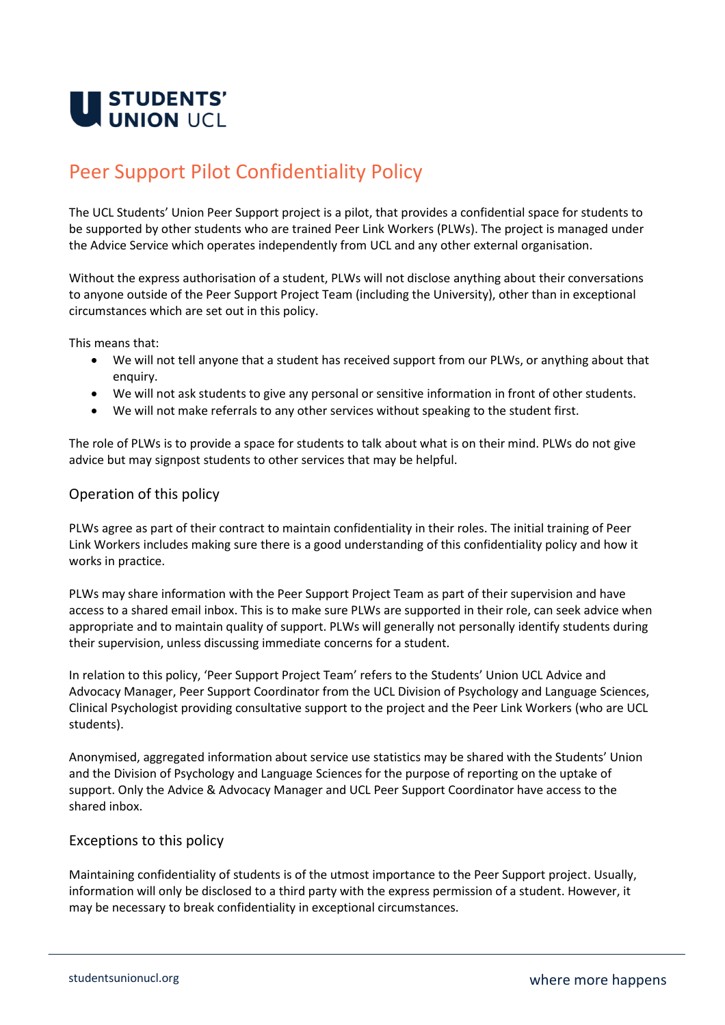

## Peer Support Pilot Confidentiality Policy

The UCL Students' Union Peer Support project is a pilot, that provides a confidential space for students to be supported by other students who are trained Peer Link Workers (PLWs). The project is managed under the Advice Service which operates independently from UCL and any other external organisation.

Without the express authorisation of a student, PLWs will not disclose anything about their conversations to anyone outside of the Peer Support Project Team (including the University), other than in exceptional circumstances which are set out in this policy.

This means that:

- We will not tell anyone that a student has received support from our PLWs, or anything about that enquiry.
- We will not ask students to give any personal or sensitive information in front of other students.
- We will not make referrals to any other services without speaking to the student first.

The role of PLWs is to provide a space for students to talk about what is on their mind. PLWs do not give advice but may signpost students to other services that may be helpful.

## Operation of this policy

PLWs agree as part of their contract to maintain confidentiality in their roles. The initial training of Peer Link Workers includes making sure there is a good understanding of this confidentiality policy and how it works in practice.

PLWs may share information with the Peer Support Project Team as part of their supervision and have access to a shared email inbox. This is to make sure PLWs are supported in their role, can seek advice when appropriate and to maintain quality of support. PLWs will generally not personally identify students during their supervision, unless discussing immediate concerns for a student.

In relation to this policy, 'Peer Support Project Team' refers to the Students' Union UCL Advice and Advocacy Manager, Peer Support Coordinator from the UCL Division of Psychology and Language Sciences, Clinical Psychologist providing consultative support to the project and the Peer Link Workers (who are UCL students).

Anonymised, aggregated information about service use statistics may be shared with the Students' Union and the Division of Psychology and Language Sciences for the purpose of reporting on the uptake of support. Only the Advice & Advocacy Manager and UCL Peer Support Coordinator have access to the shared inbox.

## Exceptions to this policy

Maintaining confidentiality of students is of the utmost importance to the Peer Support project. Usually, information will only be disclosed to a third party with the express permission of a student. However, it may be necessary to break confidentiality in exceptional circumstances.